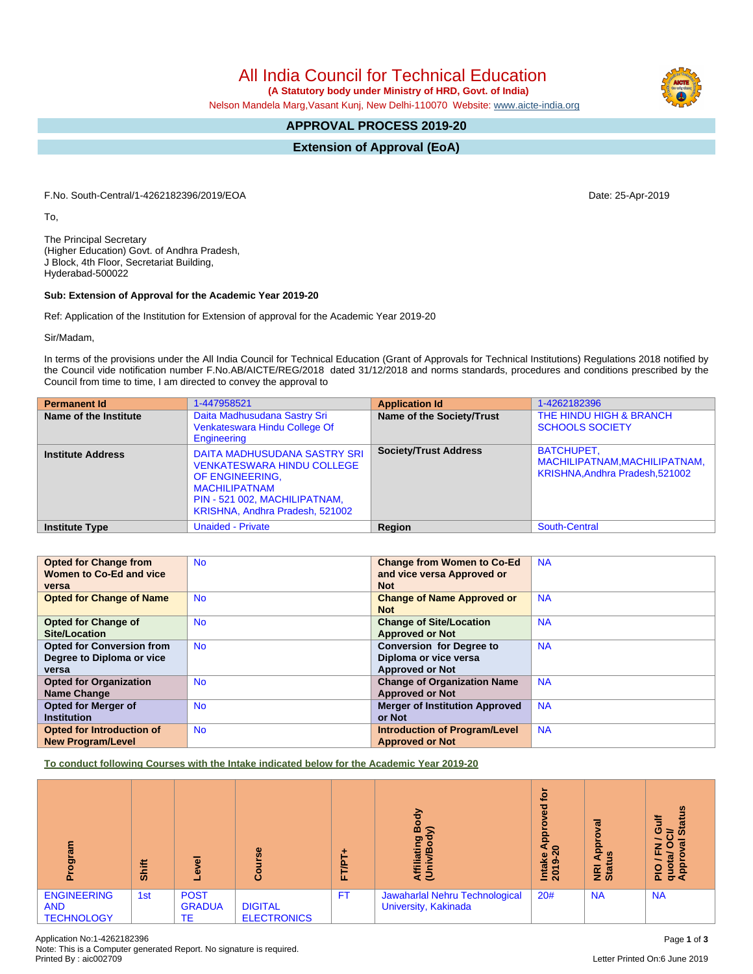GRADUA TE DIGITAL ELECTRONICS FT | Jawaharlal Nehru Technological University, Kakinada

Application No:1-4262182396 Page **1** of **3** Note: This is a Computer generated Report. No signature is required.

# All India Council for Technical Education

 **(A Statutory body under Ministry of HRD, Govt. of India)**

Nelson Mandela Marg,Vasant Kunj, New Delhi-110070 Website: [www.aicte-india.org](http://www.aicte-india.org)

# **APPROVAL PROCESS 2019-20**

**Extension of Approval (EoA)**

F.No. South-Central/1-4262182396/2019/EOA Date: 25-Apr-2019

To,

The Principal Secretary (Higher Education) Govt. of Andhra Pradesh, J Block, 4th Floor, Secretariat Building, Hyderabad-500022

### **Sub: Extension of Approval for the Academic Year 2019-20**

Ref: Application of the Institution for Extension of approval for the Academic Year 2019-20

Sir/Madam,

In terms of the provisions under the All India Council for Technical Education (Grant of Approvals for Technical Institutions) Regulations 2018 notified by the Council vide notification number F.No.AB/AICTE/REG/2018 dated 31/12/2018 and norms standards, procedures and conditions prescribed by the Council from time to time, I am directed to convey the approval to

| <b>Permanent Id</b>      | 1-447958521                                                                                                                                                                      | <b>Application Id</b>        | 1-4262182396                                                                   |
|--------------------------|----------------------------------------------------------------------------------------------------------------------------------------------------------------------------------|------------------------------|--------------------------------------------------------------------------------|
| Name of the Institute    | Daita Madhusudana Sastry Sri<br>Venkateswara Hindu College Of<br>Engineering                                                                                                     | Name of the Society/Trust    | THE HINDU HIGH & BRANCH<br><b>SCHOOLS SOCIETY</b>                              |
| <b>Institute Address</b> | DAITA MADHUSUDANA SASTRY SRI<br><b>VENKATESWARA HINDU COLLEGE</b><br>OF ENGINEERING.<br><b>MACHILIPATNAM</b><br>PIN - 521 002, MACHILIPATNAM,<br>KRISHNA, Andhra Pradesh, 521002 | <b>Society/Trust Address</b> | BATCHUPET,<br>MACHILIPATNAM, MACHILIPATNAM,<br>KRISHNA, Andhra Pradesh, 521002 |
| <b>Institute Type</b>    | <b>Unaided - Private</b>                                                                                                                                                         | Region                       | South-Central                                                                  |

| <b>Opted for Change from</b>     | <b>No</b> | <b>Change from Women to Co-Ed</b>     | <b>NA</b> |
|----------------------------------|-----------|---------------------------------------|-----------|
| Women to Co-Ed and vice          |           | and vice versa Approved or            |           |
| versa                            |           | <b>Not</b>                            |           |
| <b>Opted for Change of Name</b>  | <b>No</b> | <b>Change of Name Approved or</b>     | <b>NA</b> |
|                                  |           | <b>Not</b>                            |           |
| <b>Opted for Change of</b>       | <b>No</b> | <b>Change of Site/Location</b>        | <b>NA</b> |
| Site/Location                    |           | <b>Approved or Not</b>                |           |
| <b>Opted for Conversion from</b> | <b>No</b> | <b>Conversion for Degree to</b>       | <b>NA</b> |
| Degree to Diploma or vice        |           | Diploma or vice versa                 |           |
| versa                            |           | <b>Approved or Not</b>                |           |
| <b>Opted for Organization</b>    | <b>No</b> | <b>Change of Organization Name</b>    | <b>NA</b> |
| <b>Name Change</b>               |           | <b>Approved or Not</b>                |           |
| <b>Opted for Merger of</b>       | <b>No</b> | <b>Merger of Institution Approved</b> | <b>NA</b> |
| <b>Institution</b>               |           | or Not                                |           |
| Opted for Introduction of        | <b>No</b> | <b>Introduction of Program/Level</b>  | <b>NA</b> |
| <b>New Program/Level</b>         |           | <b>Approved or Not</b>                |           |

**To conduct following Courses with the Intake indicated below for the Academic Year 2019-20**

| ogram                                                 | <b>Shift</b> | ъ.<br>$\bullet$                    | 8<br>යි                              | −<br>Ë<br>ш. | э.<br>ъ<br>∞<br>$\sigma$<br>iati<br>⋷<br>೯೯            | ౖ<br>್ಥಾ<br>ၕ<br>$\circ$<br>Le<br>െ<br>Intal<br>2019 | ह<br>ordd <sup>r</sup><br>ற<br>⋖<br><b>NRI</b><br>Stat | $\boldsymbol{a}$<br>$\boldsymbol{\sigma}$<br>$\boldsymbol{\omega}$<br>⋍<br>z<br>O<br>ರ∢ |
|-------------------------------------------------------|--------------|------------------------------------|--------------------------------------|--------------|--------------------------------------------------------|------------------------------------------------------|--------------------------------------------------------|-----------------------------------------------------------------------------------------|
| <b>ENGINEERING</b><br><b>AND</b><br><b>TECHNOLOGY</b> | 1st          | <b>POST</b><br><b>GRADUA</b><br>ТE | <b>DIGITAL</b><br><b>ELECTRONICS</b> | <b>FT</b>    | Jawaharlal Nehru Technological<br>University, Kakinada | 20#                                                  | <b>NA</b>                                              | <b>NA</b>                                                                               |

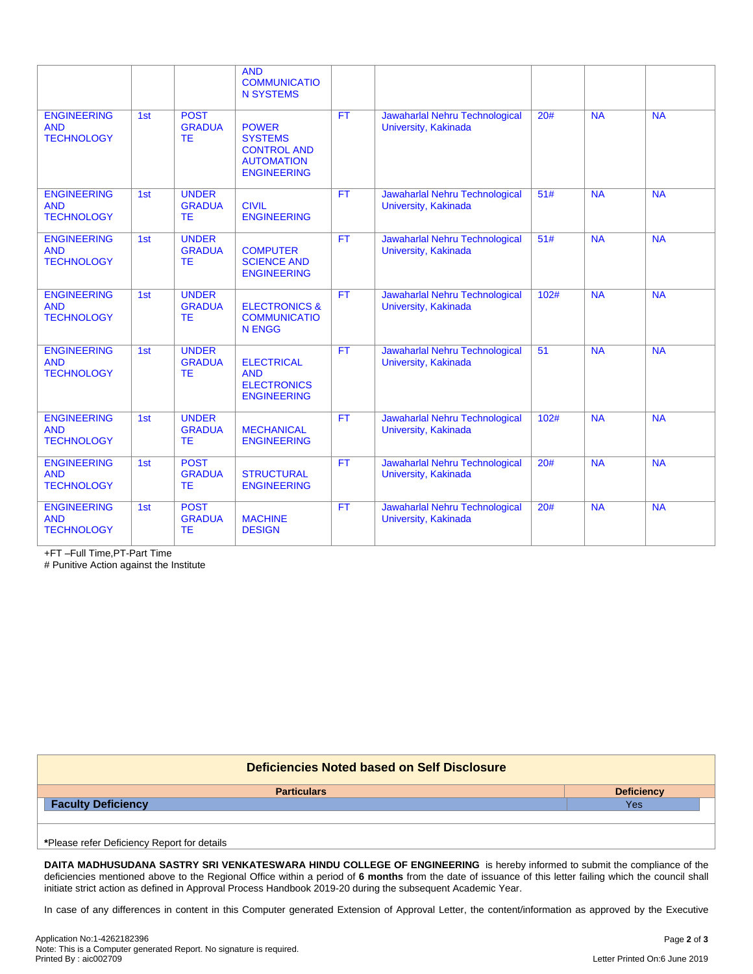|                                                       |     |                                            | <b>AND</b><br><b>COMMUNICATIO</b><br><b>N SYSTEMS</b>                                           |           |                                                        |      |           |           |
|-------------------------------------------------------|-----|--------------------------------------------|-------------------------------------------------------------------------------------------------|-----------|--------------------------------------------------------|------|-----------|-----------|
| <b>ENGINEERING</b><br><b>AND</b><br><b>TECHNOLOGY</b> | 1st | <b>POST</b><br><b>GRADUA</b><br><b>TE</b>  | <b>POWER</b><br><b>SYSTEMS</b><br><b>CONTROL AND</b><br><b>AUTOMATION</b><br><b>ENGINEERING</b> | <b>FT</b> | Jawaharlal Nehru Technological<br>University, Kakinada | 20#  | <b>NA</b> | <b>NA</b> |
| <b>ENGINEERING</b><br><b>AND</b><br><b>TECHNOLOGY</b> | 1st | <b>UNDER</b><br><b>GRADUA</b><br><b>TE</b> | <b>CIVIL</b><br><b>ENGINEERING</b>                                                              | <b>FT</b> | Jawaharlal Nehru Technological<br>University, Kakinada | 51#  | <b>NA</b> | <b>NA</b> |
| <b>ENGINEERING</b><br><b>AND</b><br><b>TECHNOLOGY</b> | 1st | <b>UNDER</b><br><b>GRADUA</b><br><b>TE</b> | <b>COMPUTER</b><br><b>SCIENCE AND</b><br><b>ENGINEERING</b>                                     | <b>FT</b> | Jawaharlal Nehru Technological<br>University, Kakinada | 51#  | <b>NA</b> | <b>NA</b> |
| <b>ENGINEERING</b><br><b>AND</b><br><b>TECHNOLOGY</b> | 1st | <b>UNDER</b><br><b>GRADUA</b><br><b>TE</b> | <b>ELECTRONICS &amp;</b><br><b>COMMUNICATIO</b><br><b>N ENGG</b>                                | <b>FT</b> | Jawaharlal Nehru Technological<br>University, Kakinada | 102# | <b>NA</b> | <b>NA</b> |
| <b>ENGINEERING</b><br><b>AND</b><br><b>TECHNOLOGY</b> | 1st | <b>UNDER</b><br><b>GRADUA</b><br><b>TE</b> | <b>ELECTRICAL</b><br><b>AND</b><br><b>ELECTRONICS</b><br><b>ENGINEERING</b>                     | <b>FT</b> | Jawaharlal Nehru Technological<br>University, Kakinada | 51   | <b>NA</b> | <b>NA</b> |
| <b>ENGINEERING</b><br><b>AND</b><br><b>TECHNOLOGY</b> | 1st | <b>UNDER</b><br><b>GRADUA</b><br>TE        | <b>MECHANICAL</b><br><b>ENGINEERING</b>                                                         | <b>FT</b> | Jawaharlal Nehru Technological<br>University, Kakinada | 102# | <b>NA</b> | <b>NA</b> |
| <b>ENGINEERING</b><br><b>AND</b><br><b>TECHNOLOGY</b> | 1st | <b>POST</b><br><b>GRADUA</b><br><b>TE</b>  | <b>STRUCTURAL</b><br><b>ENGINEERING</b>                                                         | <b>FT</b> | Jawaharlal Nehru Technological<br>University, Kakinada | 20#  | <b>NA</b> | <b>NA</b> |
| <b>ENGINEERING</b><br><b>AND</b><br><b>TECHNOLOGY</b> | 1st | <b>POST</b><br><b>GRADUA</b><br><b>TE</b>  | <b>MACHINE</b><br><b>DESIGN</b>                                                                 | <b>FT</b> | Jawaharlal Nehru Technological<br>University, Kakinada | 20#  | <b>NA</b> | <b>NA</b> |

+FT –Full Time,PT-Part Time

# Punitive Action against the Institute

| Deficiencies Noted based on Self Disclosure |                   |  |  |  |  |
|---------------------------------------------|-------------------|--|--|--|--|
| <b>Particulars</b>                          | <b>Deficiency</b> |  |  |  |  |
| <b>Faculty Deficiency</b>                   | Yes               |  |  |  |  |
|                                             |                   |  |  |  |  |
|                                             |                   |  |  |  |  |
| *Please refer Deficiency Report for details |                   |  |  |  |  |

**DAITA MADHUSUDANA SASTRY SRI VENKATESWARA HINDU COLLEGE OF ENGINEERING** is hereby informed to submit the compliance of the deficiencies mentioned above to the Regional Office within a period of **6 months** from the date of issuance of this letter failing which the council shall initiate strict action as defined in Approval Process Handbook 2019-20 during the subsequent Academic Year.

In case of any differences in content in this Computer generated Extension of Approval Letter, the content/information as approved by the Executive